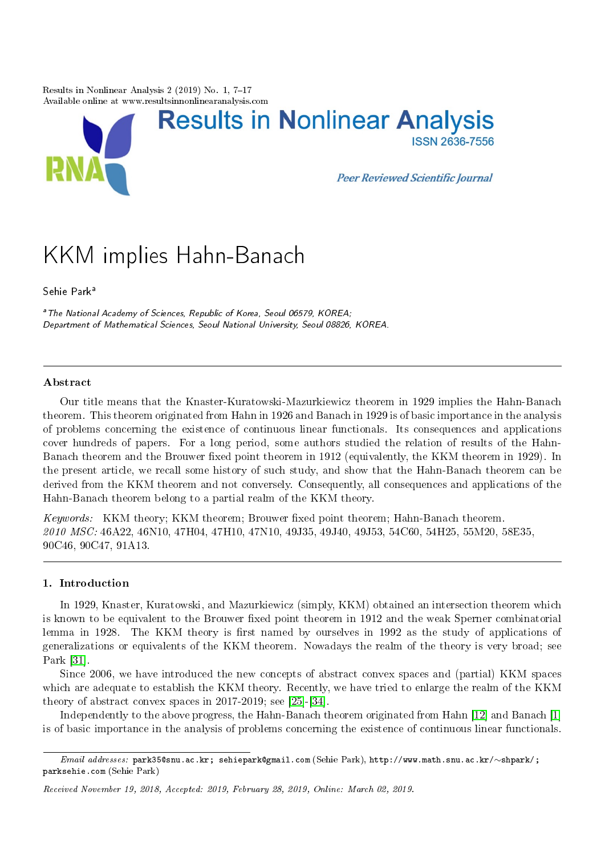Results in Nonlinear Analysis  $2(2019)$  No. 1, 7-17 Available online at www.resultsinnonlinearanalysis.com



# KKM implies Hahn-Banach

Sehie Park<sup>a</sup>

<sup>a</sup> The National Academy of Sciences, Republic of Korea, Seoul 06579, KOREA; Department of Mathematical Sciences, Seoul National University, Seoul 08826, KOREA.

## Abstract

Our title means that the Knaster-Kuratowski-Mazurkiewicz theorem in 1929 implies the Hahn-Banach theorem. This theorem originated from Hahn in 1926 and Banach in 1929 is of basic importance in the analysis of problems concerning the existence of continuous linear functionals. Its consequences and applications cover hundreds of papers. For a long period, some authors studied the relation of results of the Hahn-Banach theorem and the Brouwer fixed point theorem in 1912 (equivalently, the KKM theorem in 1929). In the present article, we recall some history of such study, and show that the Hahn-Banach theorem can be derived from the KKM theorem and not conversely. Consequently, all consequences and applications of the Hahn-Banach theorem belong to a partial realm of the KKM theory.

Keywords: KKM theory: KKM theorem; Brouwer fixed point theorem; Hahn-Banach theorem. 2010 MSC: 46A22, 46N10, 47H04, 47H10, 47N10, 49J35, 49J40, 49J53, 54C60, 54H25, 55M20, 58E35, 90C46, 90C47, 91A13.

# 1. Introduction

In 1929, Knaster, Kuratowski, and Mazurkiewicz (simply, KKM) obtained an intersection theorem which is known to be equivalent to the Brouwer fixed point theorem in 1912 and the weak Sperner combinatorial lemma in 1928. The KKM theory is first named by ourselves in 1992 as the study of applications of generalizations or equivalents of the KKM theorem. Nowadays the realm of the theory is very broad; see Park [\[31\]](#page-10-0).

Since 2006, we have introduced the new concepts of abstract convex spaces and (partial) KKM spaces which are adequate to establish the KKM theory. Recently, we have tried to enlarge the realm of the KKM theory of abstract convex spaces in 2017-2019; see [\[25\]](#page-9-0)-[\[34\]](#page-10-1).

Independently to the above progress, the Hahn-Banach theorem originated from Hahn [\[12\]](#page-9-1) and Banach [\[1\]](#page-9-2) is of basic importance in the analysis of problems concerning the existence of continuous linear functionals.

Email addresses: park35@snu.ac.kr; sehiepark@gmail.com (Sehie Park), http://www.math.snu.ac.kr/∼shpark/; parksehie.com (Sehie Park)

Received November 19, 2018, Accepted: 2019, February 28, 2019, Online: March 02, 2019.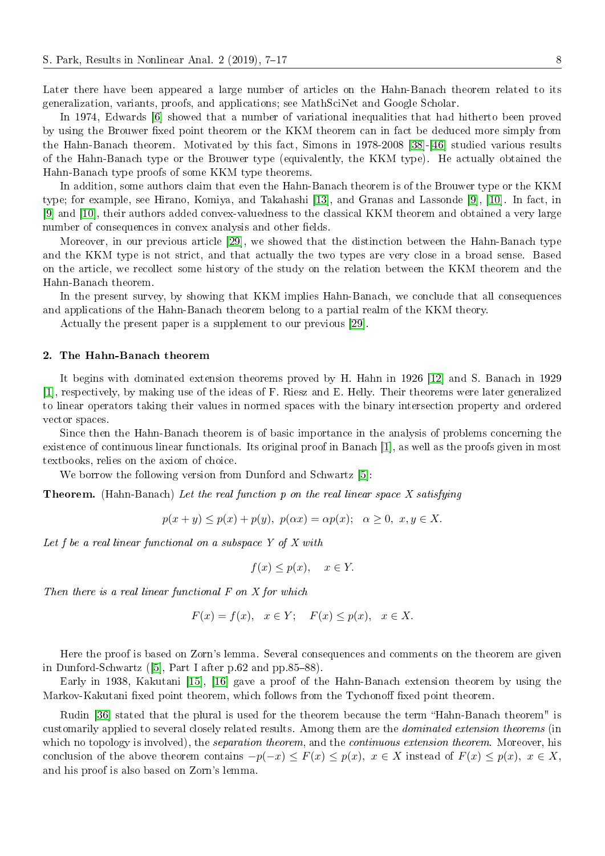Later there have been appeared a large number of articles on the Hahn-Banach theorem related to its generalization, variants, proofs, and applications; see MathSciNet and Google Scholar.

In 1974, Edwards [\[6\]](#page-9-3) showed that a number of variational inequalities that had hitherto been proved by using the Brouwer fixed point theorem or the KKM theorem can in fact be deduced more simply from the Hahn-Banach theorem. Motivated by this fact, Simons in 1978-2008 [\[38\]](#page-10-2)-[\[46\]](#page-10-3) studied various results of the Hahn-Banach type or the Brouwer type (equivalently, the KKM type). He actually obtained the Hahn-Banach type proofs of some KKM type theorems.

In addition, some authors claim that even the Hahn-Banach theorem is of the Brouwer type or the KKM type; for example, see Hirano, Komiya, and Takahashi [\[13\]](#page-9-4), and Granas and Lassonde [\[9\]](#page-9-5), [\[10\]](#page-9-6). In fact, in [\[9\]](#page-9-5) and [\[10\]](#page-9-6), their authors added convex-valuedness to the classical KKM theorem and obtained a very large number of consequences in convex analysis and other fields.

Moreover, in our previous article [\[29\]](#page-9-7), we showed that the distinction between the Hahn-Banach type and the KKM type is not strict, and that actually the two types are very close in a broad sense. Based on the article, we recollect some history of the study on the relation between the KKM theorem and the Hahn-Banach theorem.

In the present survey, by showing that KKM implies Hahn-Banach, we conclude that all consequences and applications of the Hahn-Banach theorem belong to a partial realm of the KKM theory.

Actually the present paper is a supplement to our previous [\[29\]](#page-9-7).

#### 2. The Hahn-Banach theorem

It begins with dominated extension theorems proved by H. Hahn in 1926 [\[12\]](#page-9-1) and S. Banach in 1929 [\[1\]](#page-9-2), respectively, by making use of the ideas of F. Riesz and E. Helly. Their theorems were later generalized to linear operators taking their values in normed spaces with the binary intersection property and ordered vector spaces.

Since then the Hahn-Banach theorem is of basic importance in the analysis of problems concerning the existence of continuous linear functionals. Its original proof in Banach [\[1\]](#page-9-2), as well as the proofs given in most textbooks, relies on the axiom of choice.

We borrow the following version from Dunford and Schwartz [\[5\]](#page-9-8):

**Theorem.** (Hahn-Banach) Let the real function p on the real linear space X satisfying

$$
p(x + y) \le p(x) + p(y), \ p(\alpha x) = \alpha p(x); \ \alpha \ge 0, \ x, y \in X.
$$

Let f be a real linear functional on a subspace  $Y$  of  $X$  with

$$
f(x) \le p(x), \quad x \in Y.
$$

Then there is a real linear functional F on X for which

$$
F(x) = f(x), \quad x \in Y; \quad F(x) \le p(x), \quad x \in X.
$$

Here the proof is based on Zorn's lemma. Several consequences and comments on the theorem are given in Dunford-Schwartz  $([5]$  $([5]$ , Part I after p.62 and pp.85–88).

Early in 1938, Kakutani [\[15\]](#page-9-9), [\[16\]](#page-9-10) gave a proof of the Hahn-Banach extension theorem by using the Markov-Kakutani fixed point theorem, which follows from the Tychonoff fixed point theorem.

Rudin [\[36\]](#page-10-4) stated that the plural is used for the theorem because the term "Hahn-Banach theorem" is customarily applied to several closely related results. Among them are the dominated extension theorems (in which no topology is involved), the *separation theorem*, and the *continuous extension theorem*. Moreover, his conclusion of the above theorem contains  $-p(-x) \leq F(x) \leq p(x)$ ,  $x \in X$  instead of  $F(x) \leq p(x)$ ,  $x \in X$ . and his proof is also based on Zorn's lemma.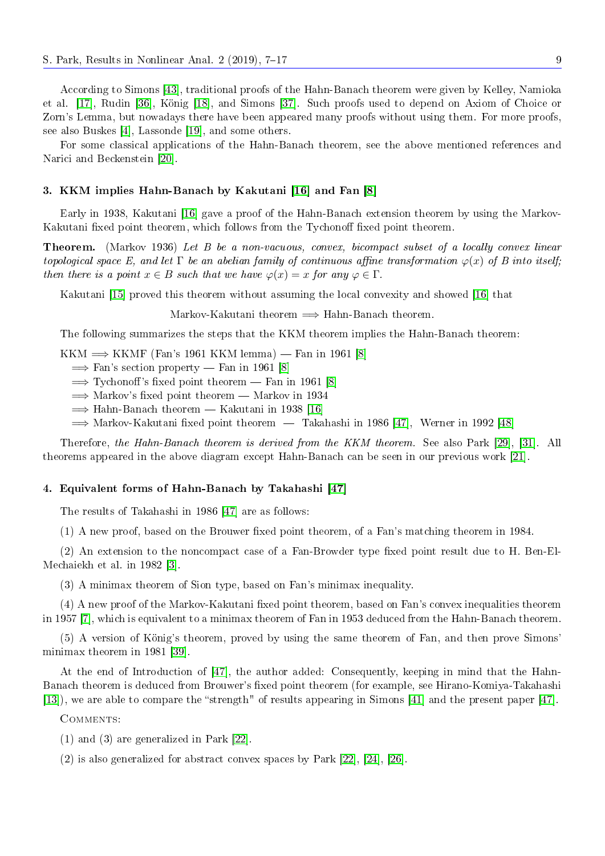According to Simons [\[43\]](#page-10-5), traditional proofs of the Hahn-Banach theorem were given by Kelley, Namioka et al. [\[17\]](#page-9-11), Rudin [\[36\]](#page-10-4), König [\[18\]](#page-9-12), and Simons [\[37\]](#page-10-6). Such proofs used to depend on Axiom of Choice or Zorn's Lemma, but nowadays there have been appeared many proofs without using them. For more proofs, see also Buskes [\[4\]](#page-9-13), Lassonde [\[19\]](#page-9-14), and some others.

For some classical applications of the Hahn-Banach theorem, see the above mentioned references and Narici and Beckenstein [\[20\]](#page-9-15).

#### 3. KKM implies Hahn-Banach by Kakutani [\[16\]](#page-9-10) and Fan [\[8\]](#page-9-16)

Early in 1938, Kakutani [\[16\]](#page-9-10) gave a proof of the Hahn-Banach extension theorem by using the Markov-Kakutani fixed point theorem, which follows from the Tychonoff fixed point theorem.

Theorem. (Markov 1936) Let B be a non-vacuous, convex, bicompact subset of a locally convex linear topological space E, and let  $\Gamma$  be an abelian family of continuous affine transformation  $\varphi(x)$  of B into itself; then there is a point  $x \in B$  such that we have  $\varphi(x) = x$  for any  $\varphi \in \Gamma$ .

Kakutani [\[15\]](#page-9-9) proved this theorem without assuming the local convexity and showed [\[16\]](#page-9-10) that

Markov-Kakutani theorem  $\implies$  Hahn-Banach theorem.

The following summarizes the steps that the KKM theorem implies the Hahn-Banach theorem:

KKM  $\Longrightarrow$  KKMF (Fan's 1961 KKM lemma) — Fan in 1961 [\[8\]](#page-9-16)

 $\Rightarrow$  Fan's section property  $-$  Fan in 1961 [\[8\]](#page-9-16)

 $\Rightarrow$  Tychonoff's fixed point theorem  $-$  Fan in 1961 [\[8\]](#page-9-16)

 $\Rightarrow$  Markov's fixed point theorem  $-$  Markov in 1934

 $\Rightarrow$  Hahn-Banach theorem  $-$  Kakutani in 1938 [\[16\]](#page-9-10)

 $\Rightarrow$  Markov-Kakutani fixed point theorem  $\overline{ }$  Takahashi in 1986 [\[47\]](#page-10-7), Werner in 1992 [\[48\]](#page-10-8)

Therefore, the Hahn-Banach theorem is derived from the KKM theorem. See also Park [\[29\]](#page-9-7), [\[31\]](#page-10-0). All theorems appeared in the above diagram except Hahn-Banach can be seen in our previous work [\[21\]](#page-9-17).

# 4. Equivalent forms of Hahn-Banach by Takahashi [\[47\]](#page-10-7)

The results of Takahashi in 1986 [\[47\]](#page-10-7) are as follows:

 $(1)$  A new proof, based on the Brouwer fixed point theorem, of a Fan's matching theorem in 1984.

 $(2)$  An extension to the noncompact case of a Fan-Browder type fixed point result due to H. Ben-El-Mechaiekh et al. in 1982 [\[3\]](#page-9-18).

(3) A minimax theorem of Sion type, based on Fan's minimax inequality.

(4) A new proof of the Markov-Kakutani fixed point theorem, based on Fan's convex inequalities theorem in 1957 [\[7\]](#page-9-19), which is equivalent to a minimax theorem of Fan in 1953 deduced from the Hahn-Banach theorem.

(5) A version of König's theorem, proved by using the same theorem of Fan, and then prove Simons' minimax theorem in 1981 [\[39\]](#page-10-9).

At the end of Introduction of [\[47\]](#page-10-7), the author added: Consequently, keeping in mind that the Hahn-Banach theorem is deduced from Brouwer's fixed point theorem (for example, see Hirano-Komiya-Takahashi [\[13\]](#page-9-4)), we are able to compare the "strength" of results appearing in Simons [\[41\]](#page-10-10) and the present paper [\[47\]](#page-10-7).

COMMENTS:

(1) and (3) are generalized in Park [\[22\]](#page-9-20).

(2) is also generalized for abstract convex spaces by Park [\[22\]](#page-9-20), [\[24\]](#page-9-21), [\[26\]](#page-9-22).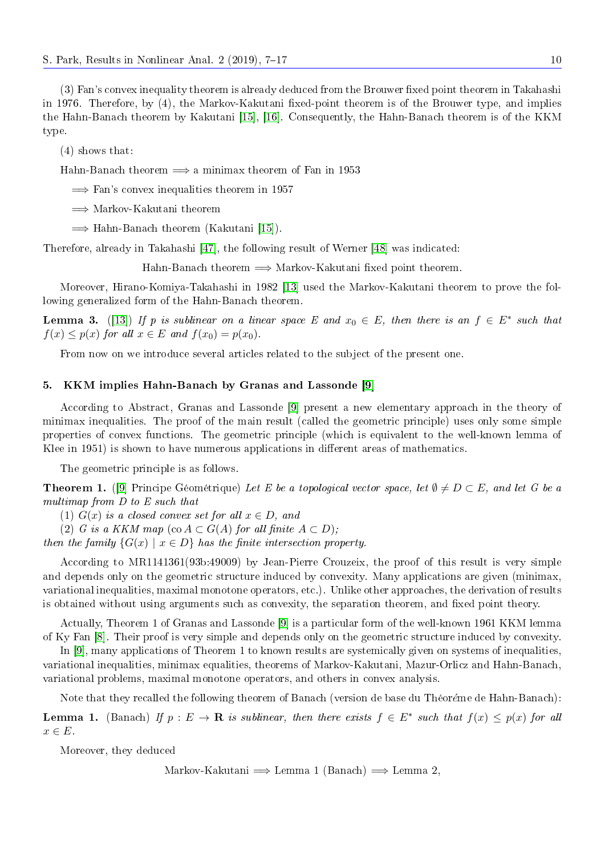(3) Fan's convex inequality theorem is already deduced from the Brouwer fixed point theorem in Takahashi in 1976. Therefore, by (4), the Markov-Kakutani fixed-point theorem is of the Brouwer type, and implies the Hahn-Banach theorem by Kakutani [\[15\]](#page-9-9), [\[16\]](#page-9-10). Consequently, the Hahn-Banach theorem is of the KKM type.

(4) shows that:

Hahn-Banach theorem  $\implies$  a minimax theorem of Fan in 1953

 $\implies$  Fan's convex inequalities theorem in 1957

=⇒ Markov-Kakutani theorem

 $\implies$  Hahn-Banach theorem (Kakutani [\[15\]](#page-9-9)).

Therefore, already in Takahashi [\[47\]](#page-10-7), the following result of Werner [\[48\]](#page-10-8) was indicated:

Hahn-Banach theorem  $\implies$  Markov-Kakutani fixed point theorem.

Moreover, Hirano-Komiya-Takahashi in 1982 [\[13\]](#page-9-4) used the Markov-Kakutani theorem to prove the following generalized form of the Hahn-Banach theorem.

**Lemma 3.** ([\[13\]](#page-9-4)) If p is sublinear on a linear space E and  $x_0 \in E$ , then there is an  $f \in E^*$  such that  $f(x) \leq p(x)$  for all  $x \in E$  and  $f(x_0) = p(x_0)$ .

From now on we introduce several articles related to the subject of the present one.

# 5. KKM implies Hahn-Banach by Granas and Lassonde [\[9\]](#page-9-5)

According to Abstract, Granas and Lassonde [\[9\]](#page-9-5) present a new elementary approach in the theory of minimax inequalities. The proof of the main result (called the geometric principle) uses only some simple properties of convex functions. The geometric principle (which is equivalent to the well-known lemma of Klee in 1951) is shown to have numerous applications in different areas of mathematics.

The geometric principle is as follows.

**Theorem 1.** ([\[9\]](#page-9-5) Principe Géométrique) Let E be a topological vector space, let  $\emptyset \neq D \subset E$ , and let G be a multimap from D to E such that

(1)  $G(x)$  is a closed convex set for all  $x \in D$ , and

(2) G is a KKM map (co  $A \subset G(A)$  for all finite  $A \subset D$ );

then the family  $\{G(x) \mid x \in D\}$  has the finite intersection property.

According to MR1141361(93b:49009) by Jean-Pierre Crouzeix, the proof of this result is very simple and depends only on the geometric structure induced by convexity. Many applications are given (minimax, variational inequalities, maximal monotone operators, etc.). Unlike other approaches, the derivation of results is obtained without using arguments such as convexity, the separation theorem, and fixed point theory.

Actually, Theorem 1 of Granas and Lassonde [\[9\]](#page-9-5) is a particular form of the well-known 1961 KKM lemma of Ky Fan [\[8\]](#page-9-16). Their proof is very simple and depends only on the geometric structure induced by convexity.

In [\[9\]](#page-9-5), many applications of Theorem 1 to known results are systemically given on systems of inequalities, variational inequalities, minimax equalities, theorems of Markov-Kakutani, Mazur-Orlicz and Hahn-Banach, variational problems, maximal monotone operators, and others in convex analysis.

Note that they recalled the following theorem of Banach (version de base du Théoréme de Hahn-Banach):

**Lemma 1.** (Banach) If  $p: E \to \mathbf{R}$  is sublinear, then there exists  $f \in E^*$  such that  $f(x) \leq p(x)$  for all  $x \in E$ .

Moreover, they deduced

Markov-Kakutani  $\implies$  Lemma 1 (Banach)  $\implies$  Lemma 2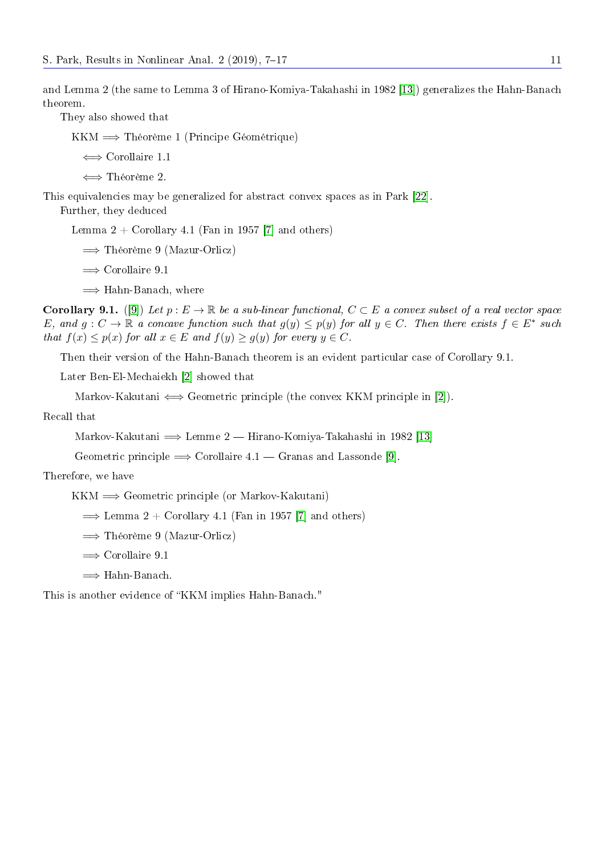and Lemma 2 (the same to Lemma 3 of Hirano-Komiya-Takahashi in 1982 [\[13\]](#page-9-4)) generalizes the Hahn-Banach theorem.

They also showed that

KKM =⇒ Théorème 1 (Principe Géométrique)

⇐⇒ Corollaire 1.1

⇐⇒ Théorème 2.

This equivalencies may be generalized for abstract convex spaces as in Park [\[22\]](#page-9-20).

Further, they deduced

Lemma  $2 +$  Corollary 4.1 (Fan in 1957 [\[7\]](#page-9-19) and others)

- =⇒ Théorème 9 (Mazur-Orlicz)
- $\implies$  Corollaire 9.1
- =⇒ Hahn-Banach, where

**Corollary 9.1.** ([\[9\]](#page-9-5)) Let  $p : E \to \mathbb{R}$  be a sub-linear functional,  $C \subset E$  a convex subset of a real vector space E, and  $g: C \to \mathbb{R}$  a concave function such that  $g(y) \leq p(y)$  for all  $y \in C$ . Then there exists  $f \in E^*$  such that  $f(x) \leq p(x)$  for all  $x \in E$  and  $f(y) \geq g(y)$  for every  $y \in C$ .

Then their version of the Hahn-Banach theorem is an evident particular case of Corollary 9.1.

Later Ben-El-Mechaiekh [\[2\]](#page-9-23) showed that

Markov-Kakutani  $\Longleftrightarrow$  Geometric principle (the convex KKM principle in [\[2\]](#page-9-23)).

Recall that

Markov-Kakutani  $\Longrightarrow$  Lemme 2  $-$  Hirano-Komiya-Takahashi in 1982 [\[13\]](#page-9-4)

Geometric principle  $\implies$  Corollaire 4.1  $\ldots$  Granas and Lassonde [\[9\]](#page-9-5).

Therefore, we have

 $KKM \implies$  Geometric principle (or Markov-Kakutani)

 $\implies$  Lemma 2 + Corollary 4.1 (Fan in 1957 [\[7\]](#page-9-19) and others)

=⇒ Théorème 9 (Mazur-Orlicz)

 $\implies$  Corollaire 9.1

 $\implies$  Hahn-Banach.

This is another evidence of "KKM implies Hahn-Banach."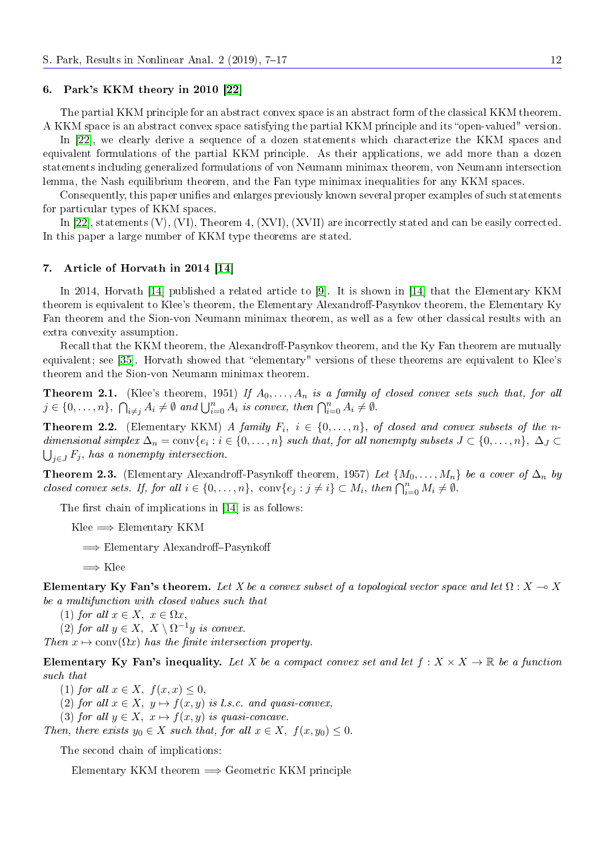## 6. Park's KKM theory in 2010 [\[22\]](#page-9-20)

The partial KKM principle for an abstract convex space is an abstract form of the classical KKM theorem. A KKM space is an abstract convex space satisfying the partial KKM principle and its "open-valued" version.

In [\[22\]](#page-9-20), we clearly derive a sequence of a dozen statements which characterize the KKM spaces and equivalent formulations of the partial KKM principle. As their applications, we add more than a dozen statements including generalized formulations of von Neumann minimax theorem, von Neumann intersection lemma, the Nash equilibrium theorem, and the Fan type minimax inequalities for any KKM spaces.

Consequently, this paper unifies and enlarges previously known several proper examples of such statements for particular types of KKM spaces.

In [\[22\]](#page-9-20), statements (V), (VI), Theorem 4, (XVI), (XVII) are incorrectly stated and can be easily corrected. In this paper a large number of KKM type theorems are stated.

#### 7. Article of Horvath in 2014 [\[14\]](#page-9-24)

In 2014, Horvath [\[14\]](#page-9-24) published a related article to [\[9\]](#page-9-5). It is shown in [14] that the Elementary KKM theorem is equivalent to Klee's theorem, the Elementary Alexandroff-Pasynkov theorem, the Elementary Ky Fan theorem and the Sion-von Neumann minimax theorem, as well as a few other classical results with an extra convexity assumption.

Recall that the KKM theorem, the Alexandroff-Pasynkov theorem, and the Ky Fan theorem are mutually equivalent; see [\[35\]](#page-10-11). Horvath showed that "elementary" versions of these theorems are equivalent to Klee's theorem and the Sion-von Neumann minimax theorem.

**Theorem 2.1.** (Klee's theorem, 1951) If  $A_0, \ldots, A_n$  is a family of closed convex sets such that, for all  $j \in \{0, \ldots, n\}, \ \bigcap_{i \neq j} A_i \neq \emptyset \ and \ \bigcup_{i=0}^n A_i \ is \ convex, \ then \ \bigcap_{i=0}^n A_i \neq \emptyset.$ 

**Theorem 2.2.** (Elementary KKM) A family  $F_i$ ,  $i \in \{0, ..., n\}$ , of closed and convex subsets of the ndimensional simplex  $\Delta_n = \text{conv}\{e_i : i \in \{0, \ldots, n\} \text{ such that, for all nonempty subsets } J \subset \{0, \ldots, n\}, \ \Delta_J \subset \{0, \ldots, n\} \text{ such that } J \subset \{0, \ldots, n\}$  $\bigcup_{j\in J}F_j$ , has a nonempty intersection.

**Theorem 2.3.** (Elementary Alexandroff-Pasynkoff theorem, 1957) Let  $\{M_0, \ldots, M_n\}$  be a cover of  $\Delta_n$  by closed convex sets. If, for all  $i \in \{0, \ldots, n\}$ , conv $\{e_j : j \neq i\} \subset M_i$ , then  $\bigcap_{i=0}^n M_i \neq \emptyset$ .

The first chain of implications in  $[14]$  is as follows:

Klee  $\Longrightarrow$  Elementary KKM

 $\implies$  Elementary Alexandroff-Pasynkoff

 $\Longrightarrow$  Klee

Elementary Ky Fan's theorem. Let X be a convex subset of a topological vector space and let  $\Omega: X \to X$ be a multifunction with closed values such that

(1) for all  $x \in X$ ,  $x \in \Omega x$ ,

(2) for all  $y \in X$ ,  $X \setminus \Omega^{-1}y$  is convex.

Then  $x \mapsto \text{conv}(\Omega x)$  has the finite intersection property.

Elementary Ky Fan's inequality. Let X be a compact convex set and let  $f: X \times X \to \mathbb{R}$  be a function such that

(1) for all  $x \in X$ ,  $f(x, x) \leq 0$ ,

(2) for all  $x \in X$ ,  $y \mapsto f(x, y)$  is l.s.c. and quasi-convex,

(3) for all  $y \in X$ ,  $x \mapsto f(x, y)$  is quasi-concave.

Then, there exists  $y_0 \in X$  such that, for all  $x \in X$ ,  $f(x, y_0) \leq 0$ .

The second chain of implications:

Elementary KKM theorem  $\Longrightarrow$  Geometric KKM principle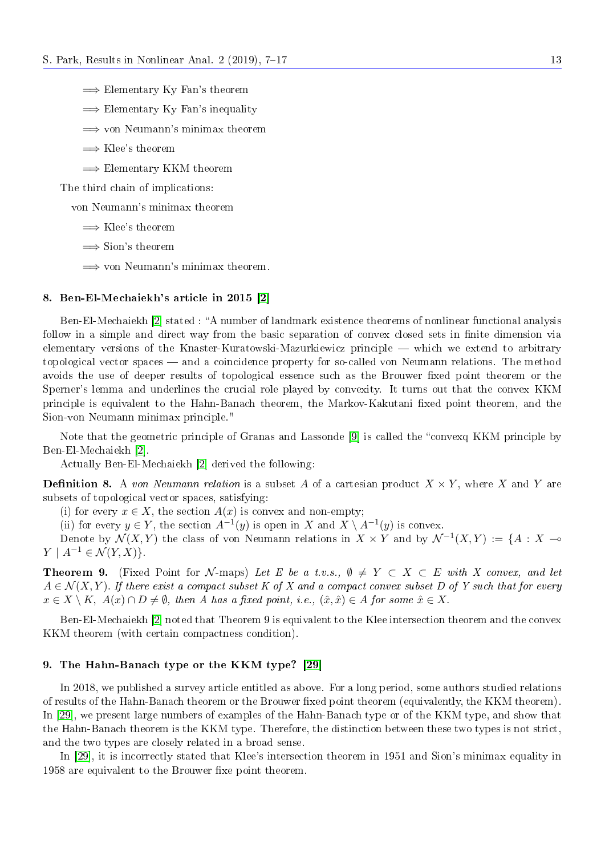- $\implies$  Elementary Ky Fan's theorem
- $\implies$  Elementary Ky Fan's inequality
- =⇒ von Neumann's minimax theorem
- $\Longrightarrow$  Klee's theorem
- $\implies$  Elementary KKM theorem

The third chain of implications:

von Neumann's minimax theorem

- $\Longrightarrow$  Klee's theorem
- $\implies$  Sion's theorem
- =⇒ von Neumann's minimax theorem.

# 8. Ben-El-Mechaiekh's article in 2015 [\[2\]](#page-9-23)

Ben-El-Mechaiekh [\[2\]](#page-9-23) stated : "A number of landmark existence theorems of nonlinear functional analysis follow in a simple and direct way from the basic separation of convex closed sets in finite dimension via elementary versions of the Knaster-Kuratowski-Mazurkiewicz principle — which we extend to arbitrary topological vector spaces and a coincidence property for so-called von Neumann relations. The method avoids the use of deeper results of topological essence such as the Brouwer fixed point theorem or the Sperner's lemma and underlines the crucial role played by convexity. It turns out that the convex KKM principle is equivalent to the Hahn-Banach theorem, the Markov-Kakutani xed point theorem, and the Sion-von Neumann minimax principle."

Note that the geometric principle of Granas and Lassonde [\[9\]](#page-9-5) is called the "convexq KKM principle by Ben-El-Mechaiekh [\[2\]](#page-9-23).

Actually Ben-El-Mechaiekh [\[2\]](#page-9-23) derived the following:

**Definition 8.** A von Neumann relation is a subset A of a cartesian product  $X \times Y$ , where X and Y are subsets of topological vector spaces, satisfying:

(i) for every  $x \in X$ , the section  $A(x)$  is convex and non-empty;

(ii) for every  $y \in Y$ , the section  $A^{-1}(y)$  is open in X and  $X \setminus A^{-1}(y)$  is convex.

Denote by  $\mathcal{N}(X, Y)$  the class of von Neumann relations in  $X \times Y$  and by  $\mathcal{N}^{-1}(X, Y) := \{A : X \multimap \emptyset\}$  $Y \mid A^{-1} \in \mathcal{N}(Y,X)$ .

**Theorem 9.** (Fixed Point for N-maps) Let E be a t.v.s.,  $\emptyset \neq Y \subset X \subset E$  with X convex, and let  $A \in \mathcal{N}(X, Y)$ . If there exist a compact subset K of X and a compact convex subset D of Y such that for every  $x \in X \setminus K$ ,  $A(x) \cap D \neq \emptyset$ , then A has a fixed point, i.e.,  $(\hat{x}, \hat{x}) \in A$  for some  $\hat{x} \in X$ .

Ben-El-Mechaiekh [\[2\]](#page-9-23) noted that Theorem 9 is equivalent to the Klee intersection theorem and the convex KKM theorem (with certain compactness condition).

## 9. The Hahn-Banach type or the KKM type? [\[29\]](#page-9-7)

In 2018, we published a survey article entitled as above. For a long period, some authors studied relations of results of the Hahn-Banach theorem or the Brouwer fixed point theorem (equivalently, the KKM theorem). In [\[29\]](#page-9-7), we present large numbers of examples of the Hahn-Banach type or of the KKM type, and show that the Hahn-Banach theorem is the KKM type. Therefore, the distinction between these two types is not strict, and the two types are closely related in a broad sense.

In [\[29\]](#page-9-7), it is incorrectly stated that Klee's intersection theorem in 1951 and Sion's minimax equality in 1958 are equivalent to the Brouwer fixe point theorem.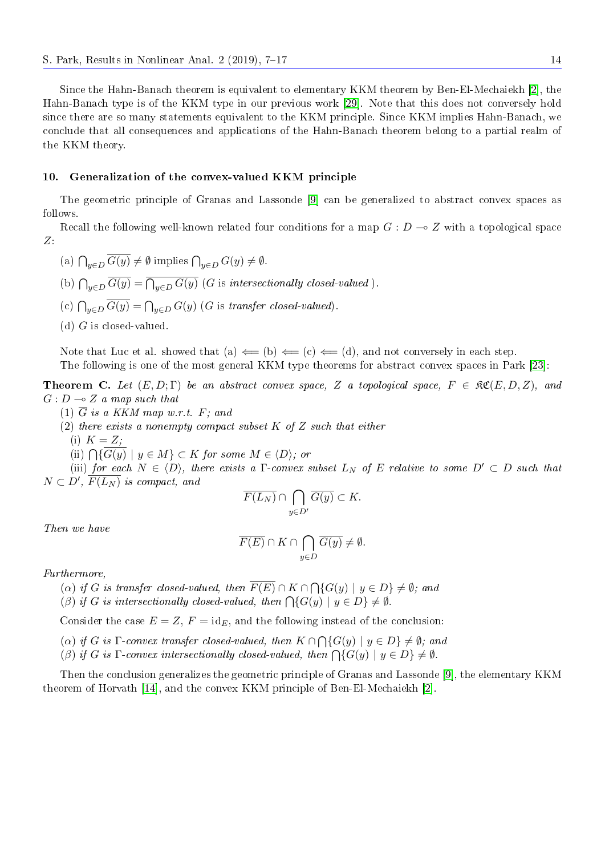Since the Hahn-Banach theorem is equivalent to elementary KKM theorem by Ben-El-Mechaiekh [\[2\]](#page-9-23), the Hahn-Banach type is of the KKM type in our previous work [\[29\]](#page-9-7). Note that this does not conversely hold since there are so many statements equivalent to the KKM principle. Since KKM implies Hahn-Banach, we conclude that all consequences and applications of the Hahn-Banach theorem belong to a partial realm of the KKM theory.

# 10. Generalization of the convex-valued KKM principle

The geometric principle of Granas and Lassonde [\[9\]](#page-9-5) can be generalized to abstract convex spaces as follows.

Recall the following well-known related four conditions for a map  $G: D \to Z$  with a topological space Z:

- (a)  $\bigcap_{y\in D} G(y) \neq \emptyset$  implies  $\bigcap_{y\in D} G(y) \neq \emptyset$ .
- (b)  $\bigcap_{y\in D} G(y) = \bigcap_{y\in D} G(y)$  (G is intersectionally closed-valued).
- (c)  $\bigcap_{y\in D} G(y) = \bigcap_{y\in D} G(y)$  (G is transfer closed-valued).
- (d)  $G$  is closed-valued.

Note that Luc et al. showed that (a)  $\Leftarrow$  (b)  $\Leftarrow$  (c)  $\Leftarrow$  (d), and not conversely in each step. The following is one of the most general KKM type theorems for abstract convex spaces in Park [\[23\]](#page-9-25):

**Theorem C.** Let  $(E, D; \Gamma)$  be an abstract convex space, Z a topological space,  $F \in \mathfrak{K}(E, D, Z)$ , and  $G: D \longrightarrow Z$  a map such that

- (1)  $\overline{G}$  is a KKM map w.r.t. F; and
- (2) there exists a nonempty compact subset  $K$  of  $Z$  such that either
	- (i)  $K = Z$ :
	- (ii)  $\bigcap \{G(y) \mid y \in M\} \subset K$  for some  $M \in \langle D \rangle$ ; or

(iii) for each  $N \in \langle D \rangle$ , there exists a  $\Gamma$ -convex subset  $L_N$  of E relative to some  $D' \subset D$  such that  $N \subset D', \overline{F(L_N)}$  is compact, and

$$
\overline{F(L_N)} \cap \bigcap_{y \in D'} \overline{G(y)} \subset K.
$$

Then we have

$$
\overline{F(E)} \cap K \cap \bigcap_{y \in D} \overline{G(y)} \neq \emptyset.
$$

Furthermore,

- (a) if G is transfer closed-valued, then  $F(E) \cap K \cap \bigcap \{G(y) \mid y \in D\} \neq \emptyset$ ; and
- (β) if G is intersectionally closed-valued, then  $\bigcap \{G(y) \mid y \in D\} \neq \emptyset$ .

Consider the case  $E = Z$ ,  $F = id_E$ , and the following instead of the conclusion:

- (a) if G is  $\Gamma$ -convex transfer closed-valued, then  $K \cap \bigcap \{G(y) \mid y \in D\} \neq \emptyset$ ; and
- (β) if G is  $\Gamma$ -convex intersectionally closed-valued, then  $\bigcap \{G(y) \mid y \in D\} \neq \emptyset$ .

Then the conclusion generalizes the geometric principle of Granas and Lassonde [\[9\]](#page-9-5), the elementary KKM theorem of Horvath [\[14\]](#page-9-24), and the convex KKM principle of Ben-El-Mechaiekh [\[2\]](#page-9-23).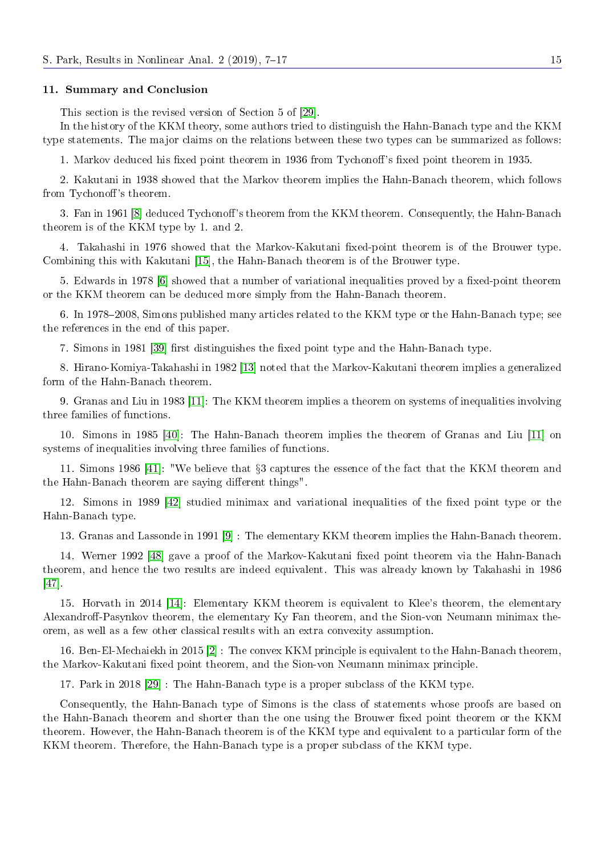## 11. Summary and Conclusion

This section is the revised version of Section 5 of [\[29\]](#page-9-7).

In the history of the KKM theory, some authors tried to distinguish the Hahn-Banach type and the KKM type statements. The major claims on the relations between these two types can be summarized as follows:

1. Markov deduced his fixed point theorem in 1936 from Tychonoff's fixed point theorem in 1935.

2. Kakutani in 1938 showed that the Markov theorem implies the Hahn-Banach theorem, which follows from Tychonoff's theorem.

3. Fan in 1961 [\[8\]](#page-9-16) deduced Tychonoff's theorem from the KKM theorem. Consequently, the Hahn-Banach theorem is of the KKM type by 1. and 2.

4. Takahashi in 1976 showed that the Markov-Kakutani fixed-point theorem is of the Brouwer type. Combining this with Kakutani [\[15\]](#page-9-9), the Hahn-Banach theorem is of the Brouwer type.

5. Edwards in 1978 [\[6\]](#page-9-3) showed that a number of variational inequalities proved by a fixed-point theorem or the KKM theorem can be deduced more simply from the Hahn-Banach theorem.

6. In 1978–2008, Simons published many articles related to the KKM type or the Hahn-Banach type; see the references in the end of this paper.

7. Simons in 1981 [\[39\]](#page-10-9) first distinguishes the fixed point type and the Hahn-Banach type.

8. Hirano-Komiya-Takahashi in 1982 [\[13\]](#page-9-4) noted that the Markov-Kakutani theorem implies a generalized form of the Hahn-Banach theorem.

9. Granas and Liu in 1983 [\[11\]](#page-9-26): The KKM theorem implies a theorem on systems of inequalities involving three families of functions.

10. Simons in 1985 [\[40\]](#page-10-12): The Hahn-Banach theorem implies the theorem of Granas and Liu [\[11\]](#page-9-26) on systems of inequalities involving three families of functions.

11. Simons 1986 [\[41\]](#page-10-10): "We believe that §3 captures the essence of the fact that the KKM theorem and the Hahn-Banach theorem are saying different things".

12. Simons in 1989 [\[42\]](#page-10-13) studied minimax and variational inequalities of the fixed point type or the Hahn-Banach type.

13. Granas and Lassonde in 1991 [\[9\]](#page-9-5) : The elementary KKM theorem implies the Hahn-Banach theorem.

14. Werner 1992 [\[48\]](#page-10-8) gave a proof of the Markov-Kakutani xed point theorem via the Hahn-Banach theorem, and hence the two results are indeed equivalent. This was already known by Takahashi in 1986 [\[47\]](#page-10-7).

15. Horvath in 2014 [\[14\]](#page-9-24): Elementary KKM theorem is equivalent to Klee's theorem, the elementary Alexandroff-Pasynkov theorem, the elementary Ky Fan theorem, and the Sion-von Neumann minimax theorem, as well as a few other classical results with an extra convexity assumption.

16. Ben-El-Mechaiekh in 2015 [\[2\]](#page-9-23) : The convex KKM principle is equivalent to the Hahn-Banach theorem, the Markov-Kakutani fixed point theorem, and the Sion-von Neumann minimax principle.

17. Park in 2018 [\[29\]](#page-9-7) : The Hahn-Banach type is a proper subclass of the KKM type.

Consequently, the Hahn-Banach type of Simons is the class of statements whose proofs are based on the Hahn-Banach theorem and shorter than the one using the Brouwer fixed point theorem or the KKM theorem. However, the Hahn-Banach theorem is of the KKM type and equivalent to a particular form of the KKM theorem. Therefore, the Hahn-Banach type is a proper subclass of the KKM type.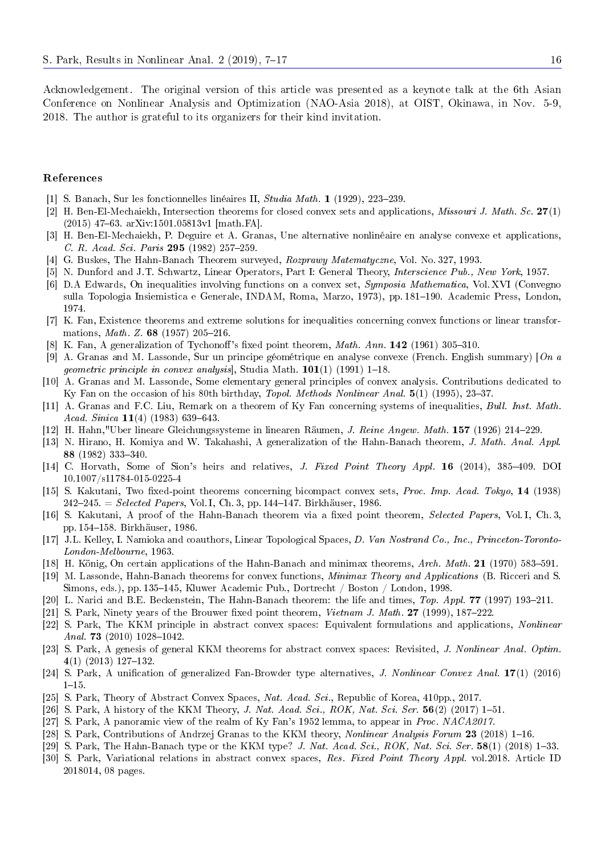Acknowledgement. The original version of this article was presented as a keynote talk at the 6th Asian Conference on Nonlinear Analysis and Optimization (NAO-Asia 2018), at OIST, Okinawa, in Nov. 5-9, 2018. The author is grateful to its organizers for their kind invitation.

# References

- <span id="page-9-2"></span>[1] S. Banach, Sur les fonctionnelles linéaires II,  $Studia Math. 1$  (1929), 223–239.
- <span id="page-9-23"></span>[2] H. Ben-El-Mechaiekh, Intersection theorems for closed convex sets and applications, Missouri J. Math. Sc. 27(1)  $(2015)$  47–63. arXiv:1501.05813v1 [math.FA].
- <span id="page-9-18"></span>[3] H. Ben-El-Mechaiekh, P. Deguire et A. Granas, Une alternative nonlinéaire en analyse convexe et applications, C. R. Acad. Sci. Paris 295 (1982) 257-259.
- <span id="page-9-13"></span>[4] G. Buskes, The Hahn-Banach Theorem surveyed, Rozprawy Matematyczne, Vol. No. 327, 1993.
- <span id="page-9-8"></span>[5] N. Dunford and J.T. Schwartz, Linear Operators, Part I: General Theory, Interscience Pub., New York, 1957.
- <span id="page-9-3"></span>[6] D.A Edwards, On inequalities involving functions on a convex set, Symposia Mathematica, Vol. XVI (Convegno sulla Topologia Insiemistica e Generale, INDAM, Roma, Marzo, 1973), pp. 181–190. Academic Press, London, 1974.
- <span id="page-9-19"></span>[7] K. Fan, Existence theorems and extreme solutions for inequalities concerning convex functions or linear transformations, *Math. Z.* 68 (1957) 205-216.
- <span id="page-9-16"></span>[8] K. Fan, A generalization of Tychonoff's fixed point theorem, *Math. Ann.* **142** (1961) 305-310.
- <span id="page-9-5"></span>[9] A. Granas and M. Lassonde, Sur un principe géométrique en analyse convexe (French. English summary) [On a geometric principle in convex analysis, Studia Math.  $101(1)$  (1991) 1-18.
- <span id="page-9-6"></span>[10] A. Granas and M. Lassonde, Some elementary general principles of convex analysis. Contributions dedicated to Ky Fan on the occasion of his 80th birthday, Topol. Methods Nonlinear Anal. 5(1) (1995), 23-37.
- <span id="page-9-26"></span>[11] A. Granas and F.C. Liu, Remark on a theorem of Ky Fan concerning systems of inequalities, Bull. Inst. Math. Acad. Sinica  $11(4)$  (1983) 639-643.
- <span id="page-9-1"></span>[12] H. Hahn,"Uber lineare Gleichungssysteme in linearen Räumen, J. Reine Angew. Math. 157 (1926) 214229.
- <span id="page-9-4"></span>[13] N. Hirano, H. Komiya and W. Takahashi, A generalization of the Hahn-Banach theorem, J. Math. Anal. Appl. 88 (1982) 333340.
- <span id="page-9-24"></span>[14] C. Horvath, Some of Sion's heirs and relatives, J. Fixed Point Theory Appl. 16 (2014), 385-409. DOI 10.1007/s11784-015-0225-4
- <span id="page-9-9"></span>[15] S. Kakutani, Two fixed-point theorems concerning bicompact convex sets, Proc. Imp. Acad. Tokyo, 14 (1938)  $242 - 245.$  = Selected Papers, Vol. I, Ch. 3, pp. 144-147. Birkhäuser, 1986.
- <span id="page-9-10"></span>[16] S. Kakutani, A proof of the Hahn-Banach theorem via a fixed point theorem, Selected Papers, Vol. I, Ch. 3, pp. 154-158. Birkhäuser, 1986.
- <span id="page-9-11"></span>[17] J.L. Kelley, I. Namioka and coauthors, Linear Topological Spaces, D. Van Nostrand Co., Inc., Princeton-Toronto-London-Melbourne, 1963.
- <span id="page-9-12"></span>[18] H. König, On certain applications of the Hahn-Banach and minimax theorems, Arch. Math. 21 (1970) 583–591.
- <span id="page-9-14"></span>[19] M. Lassonde, Hahn-Banach theorems for convex functions, Minimax Theory and Applications (B. Ricceri and S. Simons, eds.), pp. 135–145, Kluwer Academic Pub., Dortrecht / Boston / London, 1998.
- <span id="page-9-15"></span>[20] L. Narici and B.E. Beckenstein, The Hahn-Banach theorem: the life and times, Top. Appl. 77 (1997) 193-211.
- <span id="page-9-17"></span>[21] S. Park, Ninety years of the Brouwer fixed point theorem, *Vietnam J. Math.* 27 (1999), 187–222.
- <span id="page-9-20"></span>[22] S. Park, The KKM principle in abstract convex spaces: Equivalent formulations and applications, Nonlinear Anal. 73 (2010)  $1028-1042$ .
- <span id="page-9-25"></span>[23] S. Park, A genesis of general KKM theorems for abstract convex spaces: Revisited, J. Nonlinear Anal. Optim. 4(1) (2013) 127-132.
- <span id="page-9-21"></span>[24] S. Park, A unification of generalized Fan-Browder type alternatives, J. Nonlinear Convex Anal. 17(1) (2016)  $1 - 15$ .
- <span id="page-9-0"></span>[25] S. Park, Theory of Abstract Convex Spaces, Nat. Acad. Sci., Republic of Korea, 410pp., 2017.
- <span id="page-9-22"></span>[26] S. Park, A history of the KKM Theory, J. Nat. Acad. Sci.,  $ROK$ , Nat. Sci. Ser. 56(2) (2017) 1–51.
- [27] S. Park, A panoramic view of the realm of Ky Fan's 1952 lemma, to appear in Proc. NACA2017.
- [28] S. Park, Contributions of Andrzej Granas to the KKM theory, *Nonlinear Analysis Forum* 23 (2018) 1–16.
- <span id="page-9-7"></span>[29] S. Park, The Hahn-Banach type or the KKM type? J. Nat. Acad. Sci.,  $ROK$ , Nat. Sci. Ser. 58(1) (2018) 1–33.
- [30] S. Park, Variational relations in abstract convex spaces, Res. Fixed Point Theory Appl. vol.2018. Article ID 2018014, 08 pages.